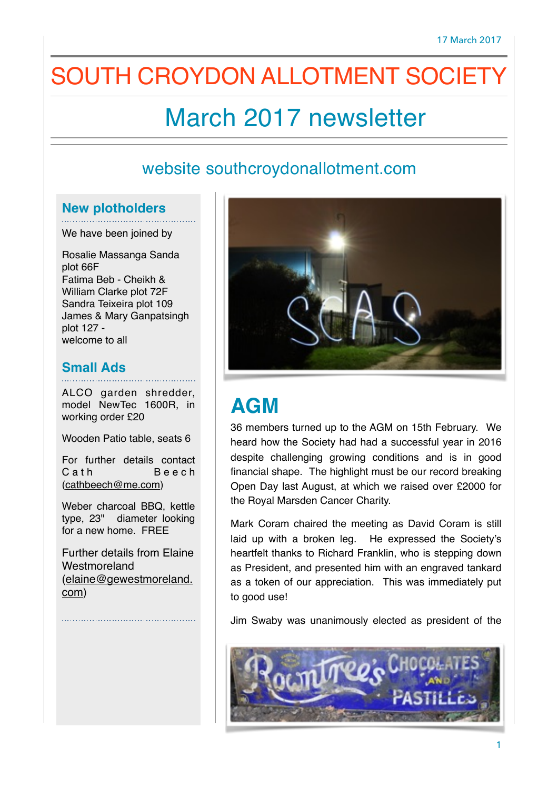# SOUTH CROYDON ALLOTMENT SOCIET

# March 2017 newsletter

#### website southcroydonallotment.com

#### **New plotholders**

We have been joined by

Rosalie Massanga Sanda plot 66F Fatima Beb - Cheikh & William Clarke plot 72F Sandra Teixeira plot 109 James & Mary Ganpatsingh plot 127 welcome to all

#### **Small Ads**

ALCO garden shredder, model NewTec 1600R, in working order £20

Wooden Patio table, seats 6

For further details contact C a the Beech ([cathbeech@me.com\)](mailto:cathbeech@me.com)

Weber charcoal BBQ, kettle type, 23" diameter looking for a new home. FREE

Further details from Elaine **Westmoreland** [\(elaine@gewestmoreland.](mailto:elaine@gewestmoreland.com) com)



# **AGM**

36 members turned up to the AGM on 15th February. We heard how the Society had had a successful year in 2016 despite challenging growing conditions and is in good financial shape. The highlight must be our record breaking Open Day last August, at which we raised over £2000 for the Royal Marsden Cancer Charity.

Mark Coram chaired the meeting as David Coram is still laid up with a broken leg. He expressed the Society's heartfelt thanks to Richard Franklin, who is stepping down as President, and presented him with an engraved tankard as a token of our appreciation. This was immediately put to good use!

Jim Swaby was unanimously elected as president of the

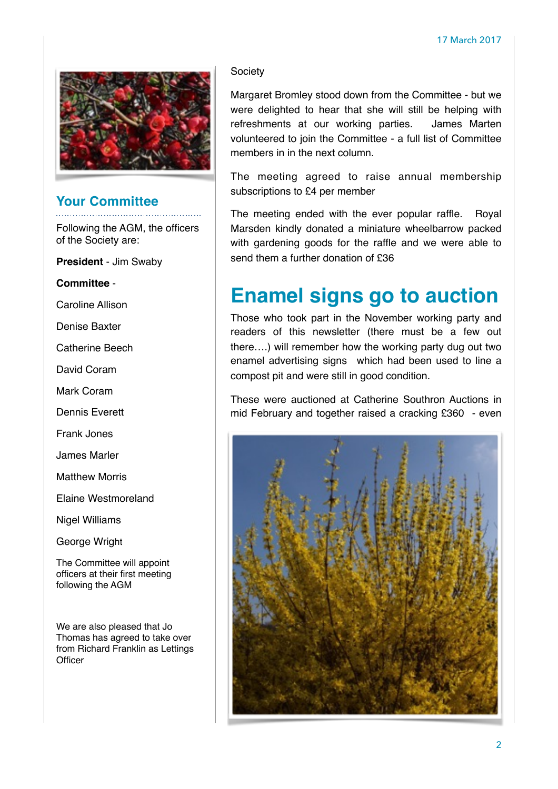

#### **Your Committee**

Following the AGM, the officers of the Society are:

**President** - Jim Swaby

**Committee** -

Caroline Allison

Denise Baxter

Catherine Beech

David Coram

Mark Coram

Dennis Everett

Frank Jones

James Marler

Matthew Morris

Elaine Westmoreland

Nigel Williams

George Wright

The Committee will appoint officers at their first meeting following the AGM

We are also pleased that Jo Thomas has agreed to take over from Richard Franklin as Lettings **Officer** 

#### **Society**

Margaret Bromley stood down from the Committee - but we were delighted to hear that she will still be helping with refreshments at our working parties. James Marten volunteered to join the Committee - a full list of Committee members in in the next column.

The meeting agreed to raise annual membership subscriptions to £4 per member

The meeting ended with the ever popular raffle. Royal Marsden kindly donated a miniature wheelbarrow packed with gardening goods for the raffle and we were able to send them a further donation of £36

### **Enamel signs go to auction**

Those who took part in the November working party and readers of this newsletter (there must be a few out there….) will remember how the working party dug out two enamel advertising signs which had been used to line a compost pit and were still in good condition.

These were auctioned at Catherine Southron Auctions in mid February and together raised a cracking £360 - even

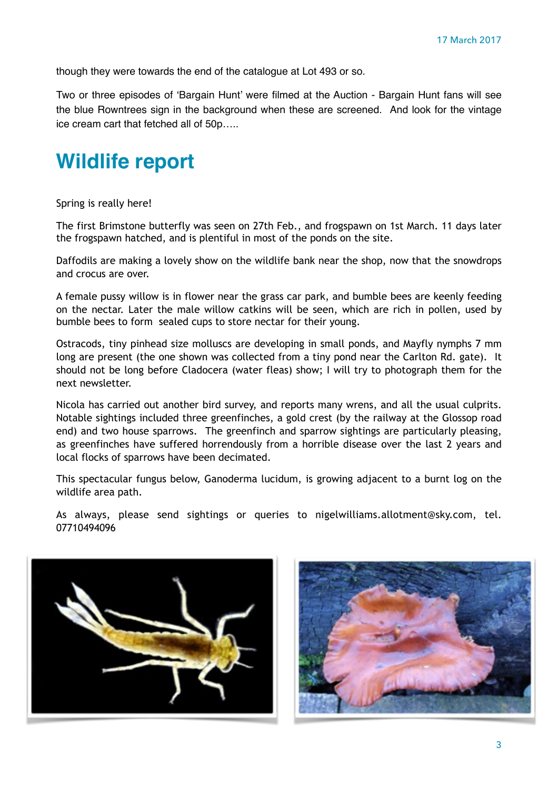though they were towards the end of the catalogue at Lot 493 or so.

Two or three episodes of 'Bargain Hunt' were filmed at the Auction - Bargain Hunt fans will see the blue Rowntrees sign in the background when these are screened. And look for the vintage ice cream cart that fetched all of 50p…..

### **Wildlife report**

Spring is really here!

The first Brimstone butterfly was seen on 27th Feb., and frogspawn on 1st March. 11 days later the frogspawn hatched, and is plentiful in most of the ponds on the site.

Daffodils are making a lovely show on the wildlife bank near the shop, now that the snowdrops and crocus are over.

A female pussy willow is in flower near the grass car park, and bumble bees are keenly feeding on the nectar. Later the male willow catkins will be seen, which are rich in pollen, used by bumble bees to form sealed cups to store nectar for their young.

Ostracods, tiny pinhead size molluscs are developing in small ponds, and Mayfly nymphs 7 mm long are present (the one shown was collected from a tiny pond near the Carlton Rd. gate). It should not be long before Cladocera (water fleas) show; I will try to photograph them for the next newsletter.

Nicola has carried out another bird survey, and reports many wrens, and all the usual culprits. Notable sightings included three greenfinches, a gold crest (by the railway at the Glossop road end) and two house sparrows. The greenfinch and sparrow sightings are particularly pleasing, as greenfinches have suffered horrendously from a horrible disease over the last 2 years and local flocks of sparrows have been decimated.

This spectacular fungus below, Ganoderma lucidum, is growing adjacent to a burnt log on the wildlife area path.

As always, please send sightings or queries to nigelwilliams.allotment@sky.com, tel. 07710494096



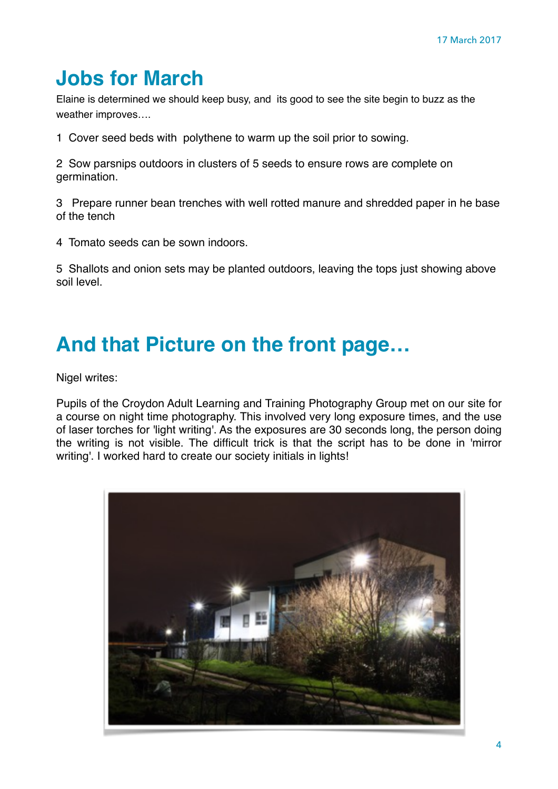# **Jobs for March**

Elaine is determined we should keep busy, and its good to see the site begin to buzz as the weather improves….

1 Cover seed beds with polythene to warm up the soil prior to sowing.

2 Sow parsnips outdoors in clusters of 5 seeds to ensure rows are complete on germination.

3 Prepare runner bean trenches with well rotted manure and shredded paper in he base of the tench

4 Tomato seeds can be sown indoors.

5 Shallots and onion sets may be planted outdoors, leaving the tops just showing above soil level.

### **And that Picture on the front page…**

Nigel writes:

Pupils of the Croydon Adult Learning and Training Photography Group met on our site for a course on night time photography. This involved very long exposure times, and the use of laser torches for 'light writing'. As the exposures are 30 seconds long, the person doing the writing is not visible. The difficult trick is that the script has to be done in 'mirror writing'. I worked hard to create our society initials in lights!

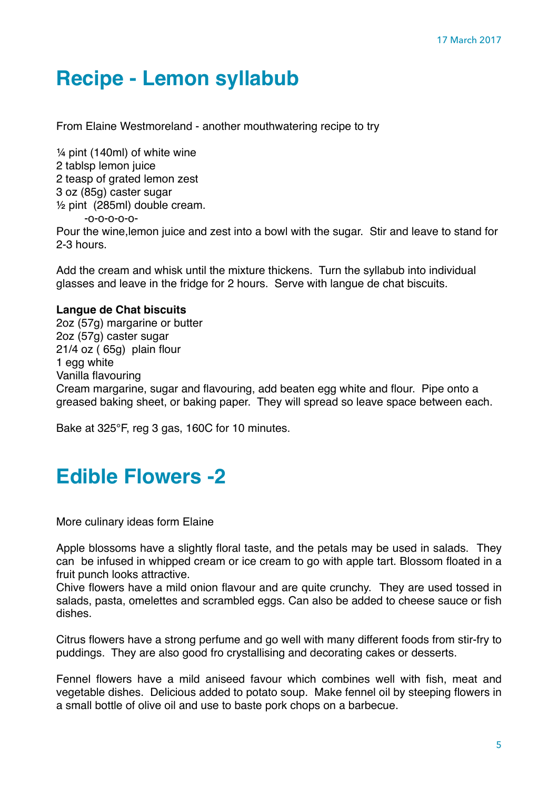# **Recipe - Lemon syllabub**

From Elaine Westmoreland - another mouthwatering recipe to try

¼ pint (140ml) of white wine 2 tablsp lemon juice 2 teasp of grated lemon zest 3 oz (85g) caster sugar ½ pint (285ml) double cream. -o-o-o-o-o-Pour the wine,lemon juice and zest into a bowl with the sugar. Stir and leave to stand for 2-3 hours.

Add the cream and whisk until the mixture thickens. Turn the syllabub into individual glasses and leave in the fridge for 2 hours. Serve with langue de chat biscuits.

#### **Langue de Chat biscuits**

2oz (57g) margarine or butter 2oz (57g) caster sugar 21/4 oz ( 65g) plain flour 1 egg white Vanilla flavouring Cream margarine, sugar and flavouring, add beaten egg white and flour. Pipe onto a greased baking sheet, or baking paper. They will spread so leave space between each.

Bake at 325°F, reg 3 gas, 160C for 10 minutes.

#### **Edible Flowers -2**

More culinary ideas form Elaine

Apple blossoms have a slightly floral taste, and the petals may be used in salads. They can be infused in whipped cream or ice cream to go with apple tart. Blossom floated in a fruit punch looks attractive.

Chive flowers have a mild onion flavour and are quite crunchy. They are used tossed in salads, pasta, omelettes and scrambled eggs. Can also be added to cheese sauce or fish dishes.

Citrus flowers have a strong perfume and go well with many different foods from stir-fry to puddings. They are also good fro crystallising and decorating cakes or desserts.

Fennel flowers have a mild aniseed favour which combines well with fish, meat and vegetable dishes. Delicious added to potato soup. Make fennel oil by steeping flowers in a small bottle of olive oil and use to baste pork chops on a barbecue.